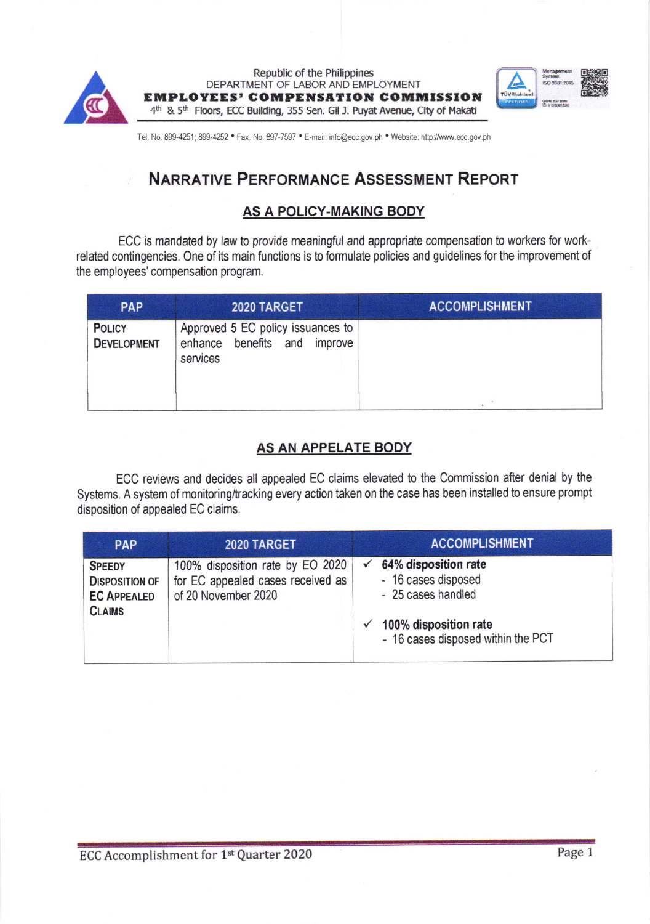

Republic of the Philippines DEPARTMENT OF LABOR AND EMPLOYMENT EMPLOYEES' COMPENSATION COMMISSION 4<sup>th</sup> & 5<sup>th</sup> Floors, ECC Building, 355 Sen. Gil J. Puyat Avenue, City of Makati



Tel. No. 899-4251; 899-4252 . Fax. No. 897-7597 . E-mail: info@ecc.gov.ph . Website: http://www.ecc.gov.ph

# NARRATIVE PERFORMANCE ASSESSMENT REPORT

## AS A POLICY-MAKING BODY

ECC is mandated by law to provide meaningful and appropriate compensation to workers for workrelated contingencies. one of its main functions is to formulate policies and guidelines for the improvement of the employees' compensation program.

| <b>PAP</b>                          | 2020 TARGET                                                                   | <b>ACCOMPLISHMENT</b> |
|-------------------------------------|-------------------------------------------------------------------------------|-----------------------|
| <b>POLICY</b><br><b>DEVELOPMENT</b> | Approved 5 EC policy issuances to<br>enhance benefits and improve<br>services |                       |
|                                     |                                                                               |                       |

# AS AN APPELATE BODY

ECC reviews and decides all appealed EC claims elevated to the Commission after denial by the Systems. A system of monitoring/tracking every action taken on the case has been installed to ensure prompt disposition of appealed EC claims.

| <b>PAP</b>                                                                    | 2020 TARGET                                                                                  | <b>ACCOMPLISHMENT</b>                                                                                                            |
|-------------------------------------------------------------------------------|----------------------------------------------------------------------------------------------|----------------------------------------------------------------------------------------------------------------------------------|
| <b>SPEEDY</b><br><b>DISPOSITION OF</b><br><b>EC APPEALED</b><br><b>CLAIMS</b> | 100% disposition rate by EO 2020<br>for EC appealed cases received as<br>of 20 November 2020 | 64% disposition rate<br>- 16 cases disposed<br>- 25 cases handled<br>100% disposition rate<br>- 16 cases disposed within the PCT |